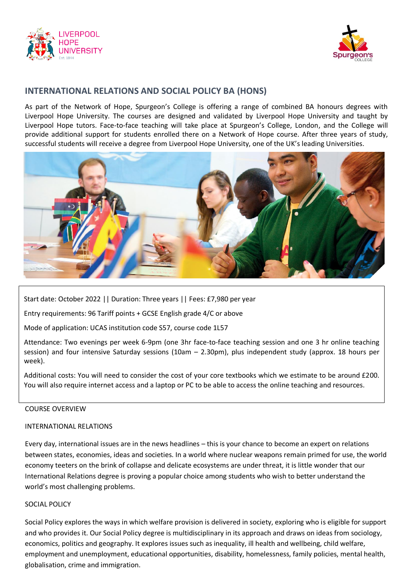



# **INTERNATIONAL RELATIONS AND SOCIAL POLICY BA (HONS)**

As part of the Network of Hope, Spurgeon's College is offering a range of combined BA honours degrees with Liverpool Hope University. The courses are designed and validated by Liverpool Hope University and taught by Liverpool Hope tutors. Face-to-face teaching will take place at Spurgeon's College, London, and the College will provide additional support for students enrolled there on a Network of Hope course. After three years of study, successful students will receive a degree from Liverpool Hope University, one of the UK's leading Universities.



Start date: October 2022 || Duration: Three years || Fees: £7,980 per year

Entry requirements: 96 Tariff points + GCSE English grade 4/C or above

Mode of application: UCAS institution code S57, course code 1L57

Attendance: Two evenings per week 6-9pm (one 3hr face-to-face teaching session and one 3 hr online teaching session) and four intensive Saturday sessions (10am – 2.30pm), plus independent study (approx. 18 hours per week).

Additional costs: You will need to consider the cost of your core textbooks which we estimate to be around £200. You will also require internet access and a laptop or PC to be able to access the online teaching and resources.

#### COURSE OVERVIEW

#### INTERNATIONAL RELATIONS

Every day, international issues are in the news headlines – this is your chance to become an expert on relations between states, economies, ideas and societies. In a world where nuclear weapons remain primed for use, the world economy teeters on the brink of collapse and delicate ecosystems are under threat, it is little wonder that our International Relations degree is proving a popular choice among students who wish to better understand the world's most challenging problems.

## SOCIAL POLICY

Social Policy explores the ways in which welfare provision is delivered in society, exploring who is eligible for support and who provides it. Our Social Policy degree is multidisciplinary in its approach and draws on ideas from sociology, economics, politics and geography. It explores issues such as inequality, ill health and wellbeing, child welfare, employment and unemployment, educational opportunities, disability, homelessness, family policies, mental health, globalisation, crime and immigration.